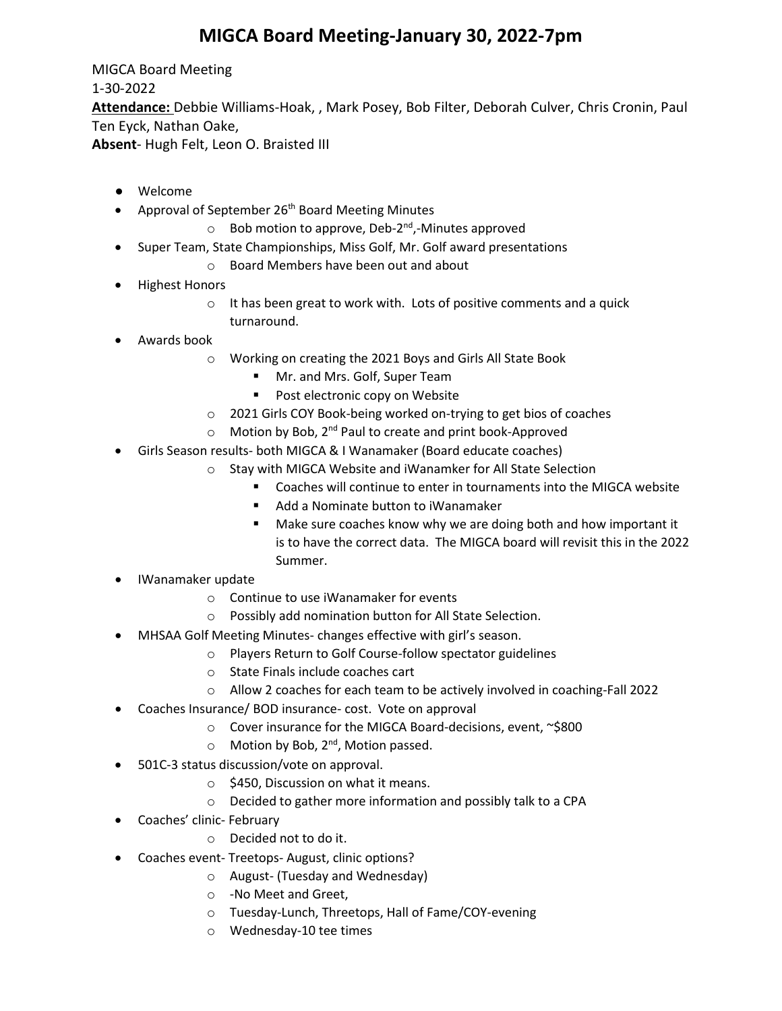## **MIGCA Board Meeting-January 30, 2022-7pm**

MIGCA Board Meeting 1-30-2022 **Attendance:** Debbie Williams-Hoak, , Mark Posey, Bob Filter, Deborah Culver, Chris Cronin, Paul Ten Eyck, Nathan Oake, **Absent**- Hugh Felt, Leon O. Braisted III

- Welcome
- Approval of September 26<sup>th</sup> Board Meeting Minutes
	- $\circ$  Bob motion to approve, Deb-2<sup>nd</sup>,-Minutes approved
- Super Team, State Championships, Miss Golf, Mr. Golf award presentations
	- o Board Members have been out and about
- Highest Honors
	- o It has been great to work with. Lots of positive comments and a quick turnaround.
- Awards book
	- o Working on creating the 2021 Boys and Girls All State Book
		- **Mr.** and Mrs. Golf, Super Team
		- **Post electronic copy on Website**
	- o 2021 Girls COY Book-being worked on-trying to get bios of coaches
	- o Motion by Bob, 2nd Paul to create and print book-Approved
- Girls Season results- both MIGCA & I Wanamaker (Board educate coaches)
	- o Stay with MIGCA Website and iWanamker for All State Selection
		- Coaches will continue to enter in tournaments into the MIGCA website
		- Add a Nominate button to iWanamaker
		- **Make sure coaches know why we are doing both and how important it** is to have the correct data. The MIGCA board will revisit this in the 2022 Summer.
- IWanamaker update
	- o Continue to use iWanamaker for events
	- o Possibly add nomination button for All State Selection.
- MHSAA Golf Meeting Minutes- changes effective with girl's season.
	- o Players Return to Golf Course-follow spectator guidelines
	- o State Finals include coaches cart
	- o Allow 2 coaches for each team to be actively involved in coaching-Fall 2022
- Coaches Insurance/ BOD insurance- cost. Vote on approval
	- o Cover insurance for the MIGCA Board-decisions, event, ~\$800
	- $\circ$  Motion by Bob, 2<sup>nd</sup>, Motion passed.
- 501C-3 status discussion/vote on approval.
	- o \$450, Discussion on what it means.
	- o Decided to gather more information and possibly talk to a CPA
- Coaches' clinic- February
	- o Decided not to do it.
- Coaches event- Treetops- August, clinic options?
	- o August- (Tuesday and Wednesday)
	- o -No Meet and Greet,
	- o Tuesday-Lunch, Threetops, Hall of Fame/COY-evening
	- o Wednesday-10 tee times